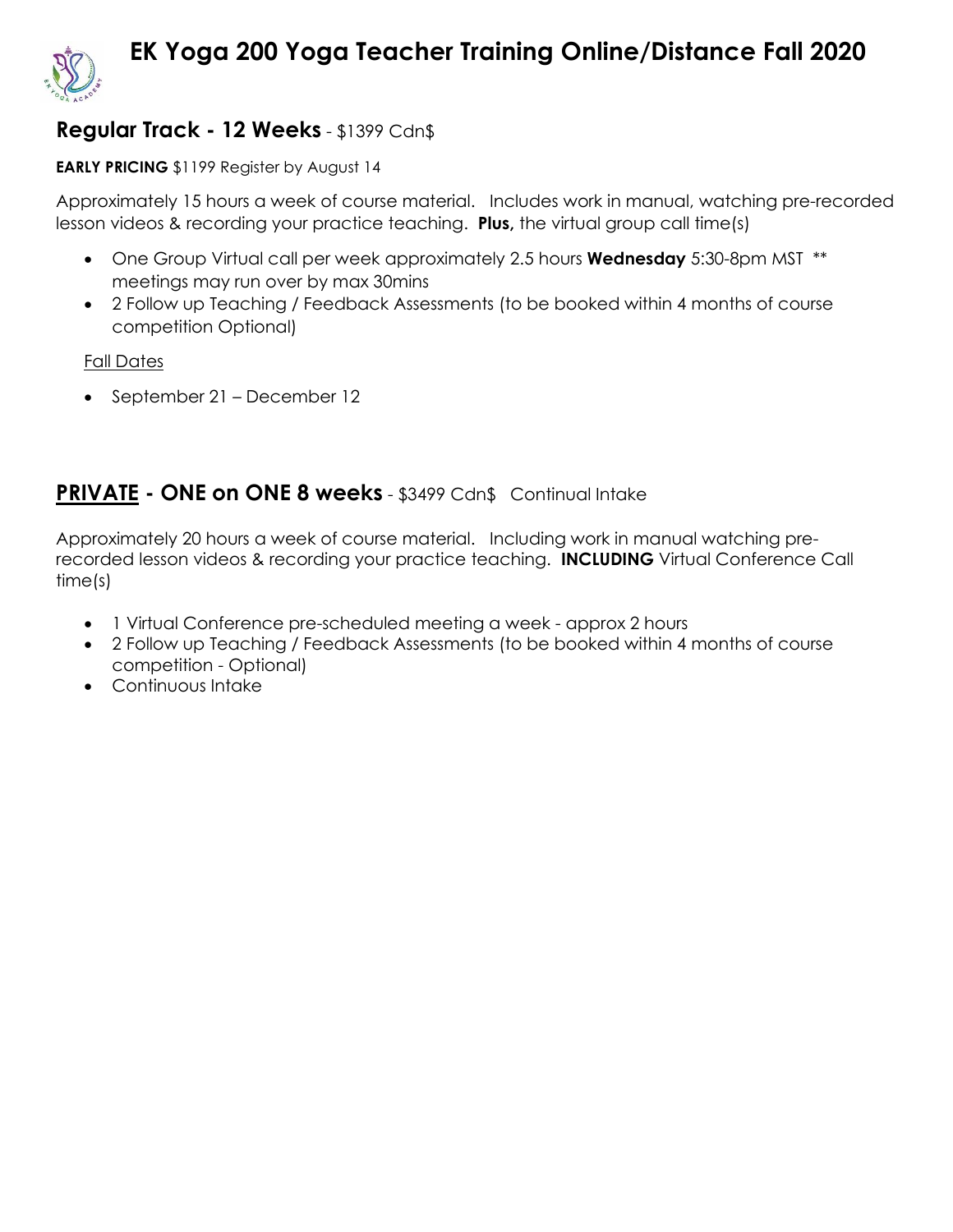

# **EK Yoga 200 Yoga Teacher Training Online/Distance Fall 2020**

## **Regular Track - 12 Weeks** - \$1399 Cdn\$

#### **EARLY PRICING** \$1199 Register by August 14

Approximately 15 hours a week of course material. Includes work in manual, watching pre-recorded lesson videos & recording your practice teaching. **Plus,** the virtual group call time(s)

- One Group Virtual call per week approximately 2.5 hours **Wednesday** 5:30-8pm MST \*\* meetings may run over by max 30mins
- 2 Follow up Teaching / Feedback Assessments (to be booked within 4 months of course competition Optional)

Fall Dates

• September 21 – December 12

## **PRIVATE - ONE on ONE 8 weeks** - \$3499 Cdn\$ Continual Intake

Approximately 20 hours a week of course material. Including work in manual watching prerecorded lesson videos & recording your practice teaching. **INCLUDING** Virtual Conference Call time(s)

- 1 Virtual Conference pre-scheduled meeting a week approx 2 hours
- 2 Follow up Teaching / Feedback Assessments (to be booked within 4 months of course competition - Optional)
- Continuous Intake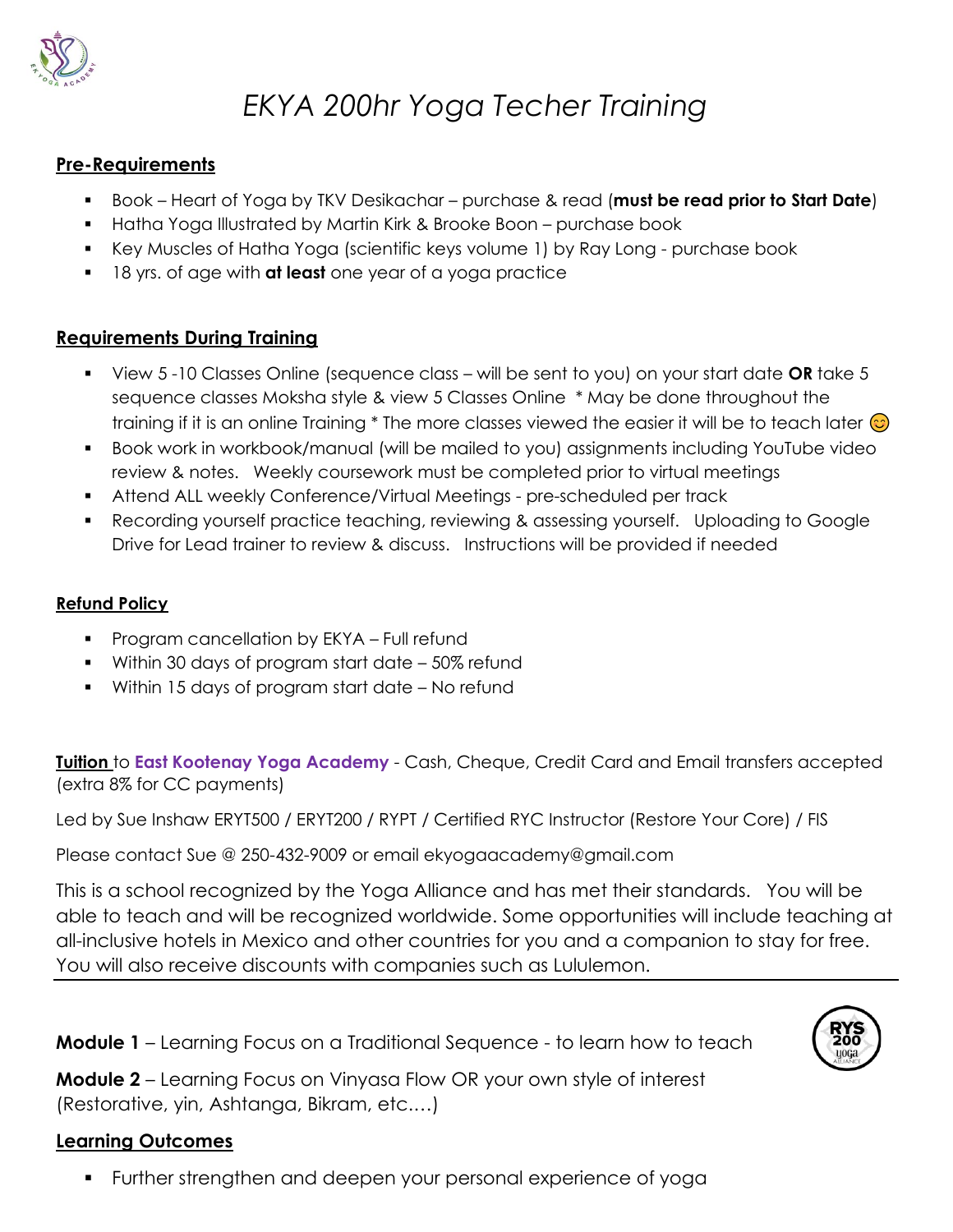

## *EKYA 200hr Yoga Techer Training*

### **Pre-Requirements**

- Book Heart of Yoga by TKV Desikachar purchase & read (**must be read prior to Start Date**)
- **■** Hatha Yoga Illustrated by Martin Kirk & Brooke Boon purchase book
- Key Muscles of Hatha Yoga (scientific keys volume 1) by Ray Long purchase book
- 18 yrs. of age with **at least** one year of a yoga practice

## **Requirements During Training**

- View 5 -10 Classes Online (sequence class will be sent to you) on your start date **OR** take 5 sequence classes Moksha style & view 5 Classes Online \* May be done throughout the training if it is an online Training  $*$  The more classes viewed the easier it will be to teach later  $\odot$
- Book work in workbook/manual (will be mailed to you) assignments including YouTube video review & notes. Weekly coursework must be completed prior to virtual meetings
- **•** Attend ALL weekly Conference/Virtual Meetings pre-scheduled per track
- Recording yourself practice teaching, reviewing & assessing yourself. Uploading to Google Drive for Lead trainer to review & discuss. Instructions will be provided if needed

### **Refund Policy**

- Program cancellation by EKYA Full refund
- Within 30 days of program start date 50% refund
- Within 15 days of program start date No refund

**Tuition** to **East Kootenay Yoga Academy** - Cash, Cheque, Credit Card and Email transfers accepted (extra 8% for CC payments)

Led by Sue Inshaw ERYT500 / ERYT200 / RYPT / Certified RYC Instructor (Restore Your Core) / FIS

Please contact Sue @ 250-432-9009 or email ekyogaacademy@gmail.com

This is a school recognized by the Yoga Alliance and has met their standards. You will be able to teach and will be recognized worldwide. Some opportunities will include teaching at all-inclusive hotels in Mexico and other countries for you and a companion to stay for free. You will also receive discounts with companies such as Lululemon.

**Module 1** – Learning Focus on a Traditional Sequence - to learn how to teach

**Module 2** – Learning Focus on Vinyasa Flow OR your own style of interest (Restorative, yin, Ashtanga, Bikram, etc.…)

## **Learning Outcomes**

▪ Further strengthen and deepen your personal experience of yoga

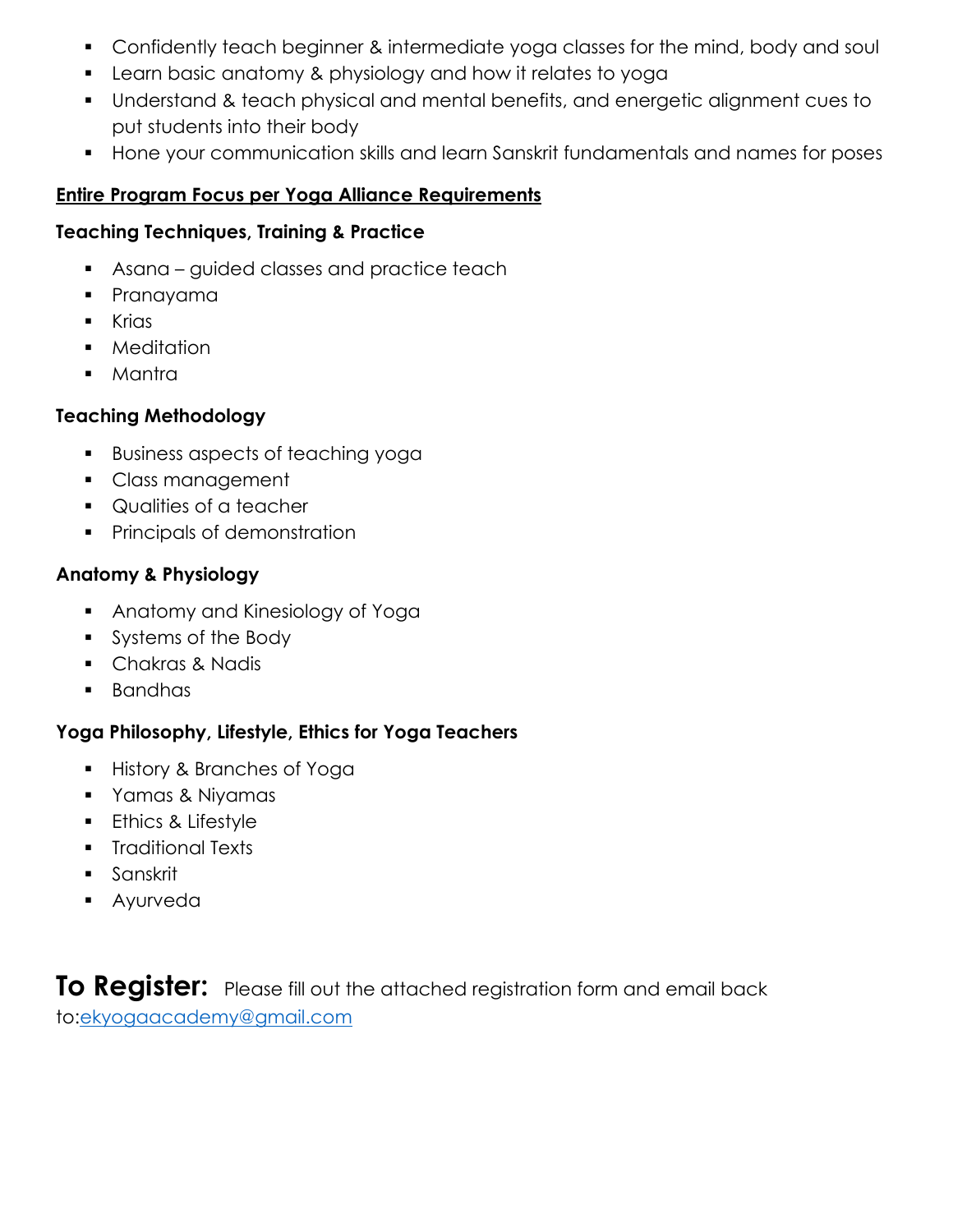- Confidently teach beginner & intermediate yoga classes for the mind, body and soul
- Learn basic anatomy & physiology and how it relates to yoga
- Understand & teach physical and mental benefits, and energetic alignment cues to put students into their body
- Hone your communication skills and learn Sanskrit fundamentals and names for poses

## **Entire Program Focus per Yoga Alliance Requirements**

## **Teaching Techniques, Training & Practice**

- **BED Asana guided classes and practice teach**
- Pranayama
- Krias
- Meditation
- Mantra

## **Teaching Methodology**

- Business aspects of teaching yoga
- Class management
- Qualities of a teacher
- **•** Principals of demonstration

## **Anatomy & Physiology**

- Anatomy and Kinesiology of Yoga
- Systems of the Body
- Chakras & Nadis
- Bandhas

## **Yoga Philosophy, Lifestyle, Ethics for Yoga Teachers**

- History & Branches of Yoga
- Yamas & Niyamas
- **Ethics & Lifestyle**
- Traditional Texts
- Sanskrit
- Ayurveda

**To Register:** Please fill out the attached registration form and email back to[:ekyogaacademy@gmail.com](mailto:ekyogaacademy@gmail.com)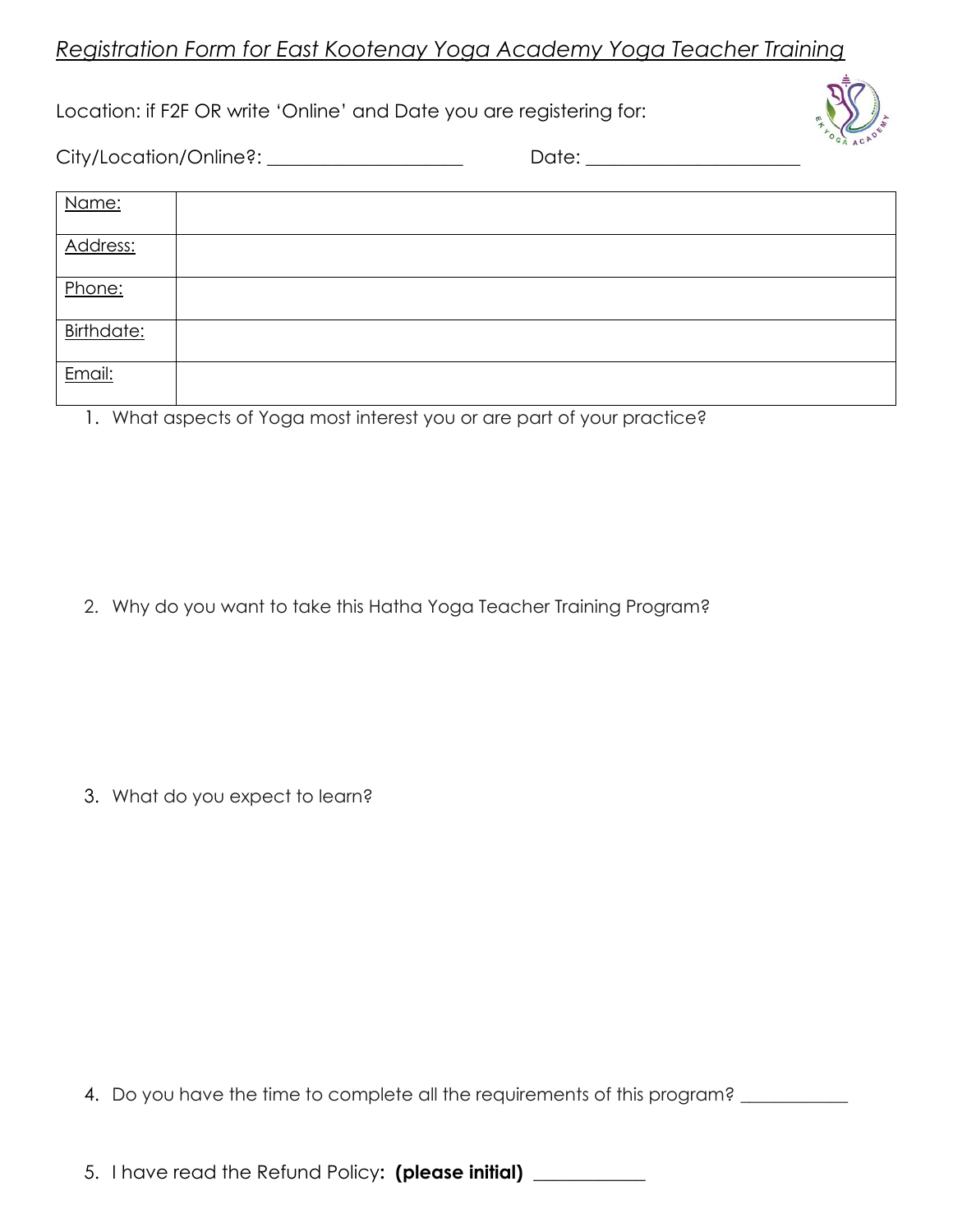## *Registration Form for East Kootenay Yoga Academy Yoga Teacher Training*

Location: if F2F OR write 'Online' and Date you are registering for:



City/Location/Online?: \_\_\_\_\_\_\_\_\_\_\_\_\_\_\_\_\_\_\_\_\_ Date: \_\_\_\_\_\_\_\_\_\_\_\_\_\_\_\_\_\_\_\_\_\_\_

| Name:      |  |
|------------|--|
| Address:   |  |
| Phone:     |  |
| Birthdate: |  |
| Email:     |  |

1. What aspects of Yoga most interest you or are part of your practice?

2. Why do you want to take this Hatha Yoga Teacher Training Program?

3. What do you expect to learn?

4. Do you have the time to complete all the requirements of this program? \_\_\_\_\_\_\_

5. I have read the Refund Policy**: (please initial) \_\_\_\_\_\_\_\_\_\_\_\_**